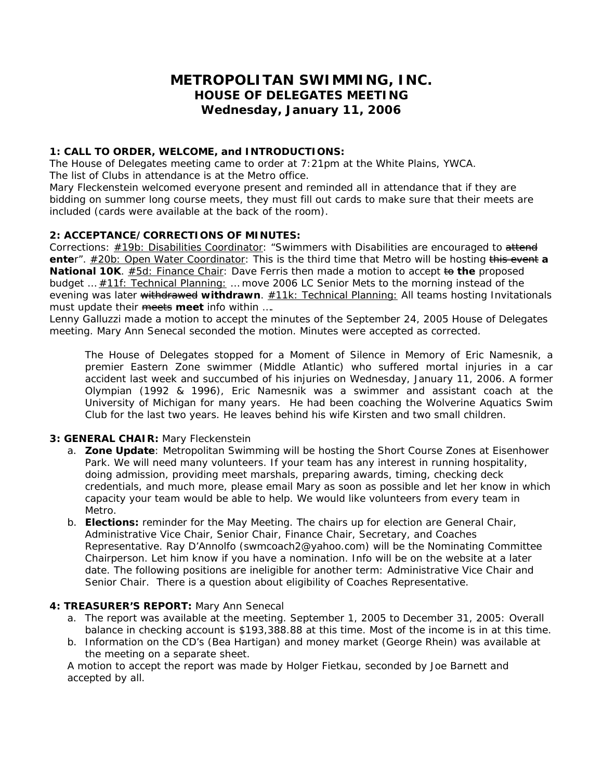# **METROPOLITAN SWIMMING, INC. HOUSE OF DELEGATES MEETING Wednesday, January 11, 2006**

# **1: CALL TO ORDER, WELCOME, and INTRODUCTIONS:**

The House of Delegates meeting came to order at 7:21pm at the White Plains, YWCA. The list of Clubs in attendance is at the Metro office.

Mary Fleckenstein welcomed everyone present and reminded all in attendance that if they are bidding on summer long course meets, they must fill out cards to make sure that their meets are included (cards were available at the back of the room).

# **2: ACCEPTANCE/CORRECTIONS OF MINUTES:**

Corrections: *#19b: Disabilities Coordinator*: "Swimmers with Disabilities are encouraged to attend **ente**r". *#20b: Open Water Coordinator*: This is the third time that Metro will be hosting this event **a National 10K**. **#5d: Finance Chair**: Dave Ferris then made a motion to accept to the proposed budget … *#11f: Technical Planning:* … move 2006 LC Senior Mets to the morning instead of the evening was later withdrawed **withdrawn**. *#11k: Technical Planning:* All teams hosting Invitationals must update their meets meet info within ....

Lenny Galluzzi made a motion to accept the minutes of the September 24, 2005 House of Delegates meeting. Mary Ann Senecal seconded the motion. Minutes were accepted as corrected.

*The House of Delegates stopped for a Moment of Silence in Memory of Eric Namesnik, a premier Eastern Zone swimmer (Middle Atlantic) who suffered mortal injuries in a car accident last week and succumbed of his injuries on Wednesday, January 11, 2006. A former Olympian (1992 & 1996), Eric Namesnik was a swimmer and assistant coach at the University of Michigan for many years. He had been coaching the Wolverine Aquatics Swim Club for the last two years. He leaves behind his wife Kirsten and two small children.* 

#### **3: GENERAL CHAIR:** Mary Fleckenstein

- a. **Zone Update**: Metropolitan Swimming will be hosting the Short Course Zones at Eisenhower Park. We will need many volunteers. If your team has any interest in running hospitality, doing admission, providing meet marshals, preparing awards, timing, checking deck credentials, and much more, please email Mary as soon as possible and let her know in which capacity your team would be able to help. We would like volunteers from every team in Metro.
- b. **Elections:** reminder for the May Meeting. The chairs up for election are General Chair, Administrative Vice Chair, Senior Chair, Finance Chair, Secretary, and Coaches Representative. Ray D'Annolfo (swmcoach2@yahoo.com) will be the Nominating Committee Chairperson. Let him know if you have a nomination. Info will be on the website at a later date. The following positions are ineligible for another term: Administrative Vice Chair and Senior Chair. There is a question about eligibility of Coaches Representative.

#### **4: TREASURER'S REPORT:** Mary Ann Senecal

- a. The report was available at the meeting. September 1, 2005 to December 31, 2005: Overall balance in checking account is \$193,388.88 at this time. Most of the income is in at this time.
- b. Information on the CD's (Bea Hartigan) and money market (George Rhein) was available at the meeting on a separate sheet.

A motion to accept the report was made by Holger Fietkau, seconded by Joe Barnett and accepted by all.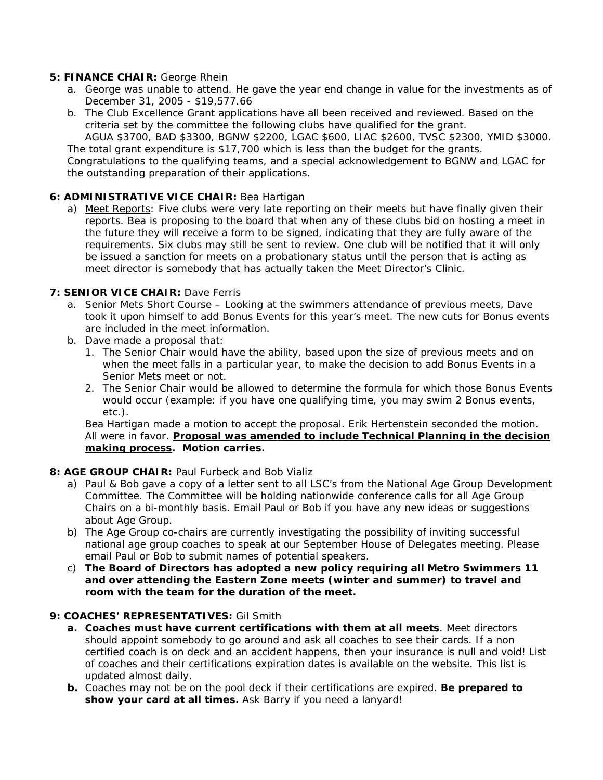#### **5: FINANCE CHAIR:** George Rhein

- a. George was unable to attend. He gave the year end change in value for the investments as of December 31, 2005 - \$19,577.66
- b. The Club Excellence Grant applications have all been received and reviewed. Based on the criteria set by the committee the following clubs have qualified for the grant.

AGUA \$3700, BAD \$3300, BGNW \$2200, LGAC \$600, LIAC \$2600, TVSC \$2300, YMID \$3000. The total grant expenditure is \$17,700 which is less than the budget for the grants.

Congratulations to the qualifying teams, and a special acknowledgement to BGNW and LGAC for the outstanding preparation of their applications.

#### **6: ADMINISTRATIVE VICE CHAIR:** Bea Hartigan

a) Meet Reports: Five clubs were very late reporting on their meets but have finally given their reports. Bea is proposing to the board that when any of these clubs bid on hosting a meet in the future they will receive a form to be signed, indicating that they are fully aware of the requirements. Six clubs may still be sent to review. One club will be notified that it will only be issued a sanction for meets on a probationary status until the person that is acting as meet director is somebody that has actually taken the Meet Director's Clinic.

#### **7: SENIOR VICE CHAIR: Dave Ferris**

- a. Senior Mets Short Course Looking at the swimmers attendance of previous meets, Dave took it upon himself to add Bonus Events for this year's meet. The new cuts for Bonus events are included in the meet information.
- b. Dave made a proposal that:
	- 1. The Senior Chair would have the ability, based upon the size of previous meets and on when the meet falls in a particular year, to make the decision to add Bonus Events in a Senior Mets meet or not.
	- 2. The Senior Chair would be allowed to determine the formula for which those Bonus Events would occur (example: if you have one qualifying time, you may swim 2 Bonus events, etc.).

Bea Hartigan made a motion to accept the proposal. Erik Hertenstein seconded the motion. All were in favor. *Proposal was amended to include Technical Planning in the decision making process.* **Motion carries.**

#### **8: AGE GROUP CHAIR:** Paul Furbeck and Bob Vializ

- a) Paul & Bob gave a copy of a letter sent to all LSC's from the National Age Group Development Committee. The Committee will be holding nationwide conference calls for all Age Group Chairs on a bi-monthly basis. Email Paul or Bob if you have any new ideas or suggestions about Age Group.
- b) The Age Group co-chairs are currently investigating the possibility of inviting successful national age group coaches to speak at our September House of Delegates meeting. Please email Paul or Bob to submit names of potential speakers.
- c) **The Board of Directors has adopted a new policy requiring all Metro Swimmers 11 and over attending the Eastern Zone meets (winter and summer) to travel and room with the team for the duration of the meet.**

#### **9: COACHES' REPRESENTATIVES:** Gil Smith

- **a. Coaches must have current certifications with them at all meets**. Meet directors should appoint somebody to go around and ask all coaches to see their cards. If a non certified coach is on deck and an accident happens, then your insurance is null and void! List of coaches and their certifications expiration dates is available on the website. This list is updated almost daily.
- **b.** Coaches may not be on the pool deck if their certifications are expired. **Be prepared to show your card at all times.** Ask Barry if you need a lanyard!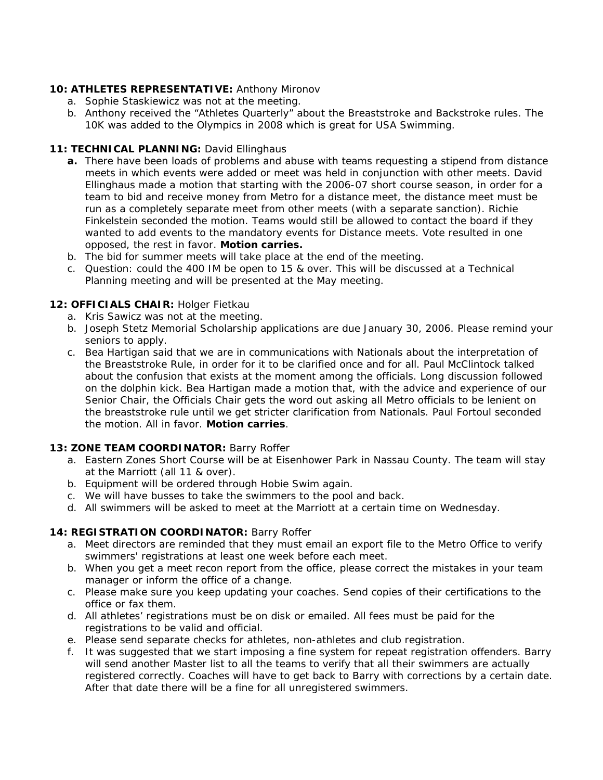# **10: ATHLETES REPRESENTATIVE:** Anthony Mironov

- a. Sophie Staskiewicz was not at the meeting.
- b. Anthony received the "Athletes Quarterly" about the Breaststroke and Backstroke rules. The 10K was added to the Olympics in 2008 which is great for USA Swimming.

# **11: TECHNICAL PLANNING:** David Ellinghaus

- **a.** There have been loads of problems and abuse with teams requesting a stipend from distance meets in which events were added or meet was held in conjunction with other meets. David Ellinghaus made a motion that starting with the 2006-07 short course season, in order for a team to bid and receive money from Metro for a distance meet, the distance meet must be run as a completely separate meet from other meets (with a separate sanction). Richie Finkelstein seconded the motion. Teams would still be allowed to contact the board if they wanted to add events to the mandatory events for Distance meets. Vote resulted in one opposed, the rest in favor. **Motion carries.**
- b. The bid for summer meets will take place at the end of the meeting.
- c. Question: could the 400 IM be open to 15 & over. This will be discussed at a Technical Planning meeting and will be presented at the May meeting.

# **12: OFFICIALS CHAIR:** Holger Fietkau

- a. Kris Sawicz was not at the meeting.
- b. Joseph Stetz Memorial Scholarship applications are due January 30, 2006. Please remind your seniors to apply.
- c. Bea Hartigan said that we are in communications with Nationals about the interpretation of the Breaststroke Rule, in order for it to be clarified once and for all. Paul McClintock talked about the confusion that exists at the moment among the officials. Long discussion followed on the dolphin kick. Bea Hartigan made a motion that, with the advice and experience of our Senior Chair, the Officials Chair gets the word out asking all Metro officials to be lenient on the breaststroke rule until we get stricter clarification from Nationals. Paul Fortoul seconded the motion. All in favor. **Motion carries**.

#### **13: ZONE TEAM COORDINATOR:** Barry Roffer

- a. Eastern Zones Short Course will be at Eisenhower Park in Nassau County. The team will stay at the Marriott (all 11 & over).
- b. Equipment will be ordered through Hobie Swim again.
- c. We will have busses to take the swimmers to the pool and back.
- d. All swimmers will be asked to meet at the Marriott at a certain time on Wednesday.

#### **14: REGISTRATION COORDINATOR:** Barry Roffer

- a. Meet directors are reminded that they must email an export file to the Metro Office to verify swimmers' registrations at least one week before each meet.
- b. When you get a meet recon report from the office, please correct the mistakes in your team manager or inform the office of a change.
- c. Please make sure you keep updating your coaches. Send copies of their certifications to the office or fax them.
- d. All athletes' registrations must be on disk or emailed. All fees must be paid for the registrations to be valid and official.
- e. Please send separate checks for athletes, non-athletes and club registration.
- f. It was suggested that we start imposing a fine system for repeat registration offenders. Barry will send another Master list to all the teams to verify that all their swimmers are actually registered correctly. Coaches will have to get back to Barry with corrections by a certain date. After that date there will be a fine for all unregistered swimmers.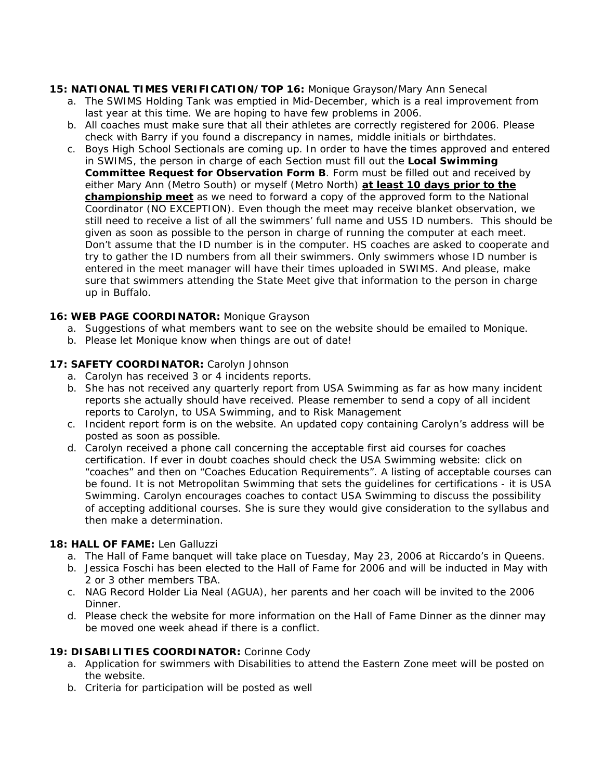# **15: NATIONAL TIMES VERIFICATION/TOP 16:** Monique Grayson/Mary Ann Senecal

- a. The SWIMS Holding Tank was emptied in Mid-December, which is a real improvement from last year at this time. We are hoping to have few problems in 2006.
- b. All coaches must make sure that all their athletes are correctly registered for 2006. Please check with Barry if you found a discrepancy in names, middle initials or birthdates.
- c. Boys High School Sectionals are coming up. In order to have the times approved and entered in SWIMS, the person in charge of each Section must fill out the **Local Swimming Committee Request for Observation Form B**. Form must be filled out and received by either Mary Ann (Metro South) or myself (Metro North) **at least 10 days prior to the championship meet** as we need to forward a copy of the approved form to the National Coordinator (NO EXCEPTION). Even though the meet may receive blanket observation, we still need to receive a list of all the swimmers' full name and USS ID numbers. This should be given as soon as possible to the person in charge of running the computer at each meet. Don't assume that the ID number is in the computer. HS coaches are asked to cooperate and try to gather the ID numbers from all their swimmers. Only swimmers whose ID number is entered in the meet manager will have their times uploaded in SWIMS. And please, make sure that swimmers attending the State Meet give that information to the person in charge up in Buffalo.

# **16: WEB PAGE COORDINATOR:** Monique Grayson

- a. Suggestions of what members want to see on the website should be emailed to Monique.
- b. Please let Monique know when things are out of date!

# **17: SAFETY COORDINATOR:** Carolyn Johnson

- a. Carolyn has received 3 or 4 incidents reports.
- b. She has not received any quarterly report from USA Swimming as far as how many incident reports she actually should have received. Please remember to send a copy of all incident reports to Carolyn, to USA Swimming, and to Risk Management
- c. Incident report form is on the website. An updated copy containing Carolyn's address will be posted as soon as possible.
- d. Carolyn received a phone call concerning the acceptable first aid courses for coaches certification. If ever in doubt coaches should check the USA Swimming website: click on "coaches" and then on "Coaches Education Requirements". A listing of acceptable courses can be found. It is not Metropolitan Swimming that sets the guidelines for certifications - it is USA Swimming. Carolyn encourages coaches to contact USA Swimming to discuss the possibility of accepting additional courses. She is sure they would give consideration to the syllabus and then make a determination.

# **18: HALL OF FAME:** Len Galluzzi

- a. The Hall of Fame banquet will take place on Tuesday, May 23, 2006 at Riccardo's in Queens.
- b. Jessica Foschi has been elected to the Hall of Fame for 2006 and will be inducted in May with 2 or 3 other members TBA.
- c. NAG Record Holder Lia Neal (AGUA), her parents and her coach will be invited to the 2006 **Dinner**
- d. Please check the website for more information on the Hall of Fame Dinner as the dinner may be moved one week ahead if there is a conflict.

# **19: DISABILITIES COORDINATOR:** Corinne Cody

- a. Application for swimmers with Disabilities to attend the Eastern Zone meet will be posted on the website.
- b. Criteria for participation will be posted as well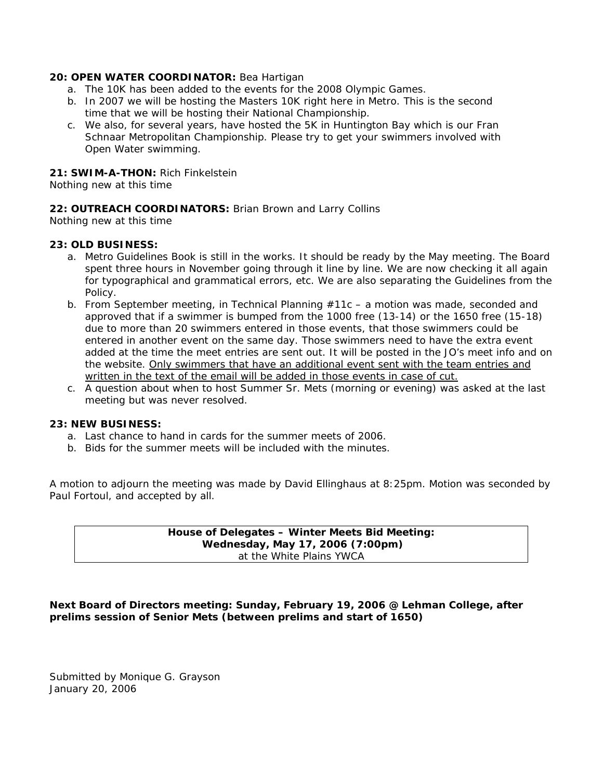#### **20: OPEN WATER COORDINATOR:** Bea Hartigan

- a. The 10K has been added to the events for the 2008 Olympic Games.
- b. In 2007 we will be hosting the Masters 10K right here in Metro. This is the second time that we will be hosting their National Championship.
- c. We also, for several years, have hosted the 5K in Huntington Bay which is our Fran Schnaar Metropolitan Championship. Please try to get your swimmers involved with Open Water swimming.

#### **21: SWIM-A-THON:** Rich Finkelstein

Nothing new at this time

#### **22: OUTREACH COORDINATORS:** Brian Brown and Larry Collins

Nothing new at this time

#### **23: OLD BUSINESS:**

- a. Metro Guidelines Book is still in the works. It should be ready by the May meeting. The Board spent three hours in November going through it line by line. We are now checking it all again for typographical and grammatical errors, etc. We are also separating the Guidelines from the Policy.
- b. From September meeting, in Technical Planning #11c a motion was made, seconded and approved that if a swimmer is bumped from the 1000 free (13-14) or the 1650 free (15-18) due to more than 20 swimmers entered in those events, that those swimmers could be entered in another event on the same day. Those swimmers need to have the extra event added at the time the meet entries are sent out. It will be posted in the JO's meet info and on the website. *Only swimmers that have an additional event sent with the team entries and written in the text of the email will be added in those events in case of cut.*
- c. A question about when to host Summer Sr. Mets (morning or evening) was asked at the last meeting but was never resolved.

#### **23: NEW BUSINESS:**

- a. Last chance to hand in cards for the summer meets of 2006.
- b. Bids for the summer meets will be included with the minutes.

A motion to adjourn the meeting was made by David Ellinghaus at 8:25pm. Motion was seconded by Paul Fortoul, and accepted by all.

> **House of Delegates – Winter Meets Bid Meeting: Wednesday, May 17, 2006 (7:00pm)**  at the White Plains YWCA

**Next Board of Directors meeting: Sunday, February 19, 2006 @ Lehman College, after prelims session of Senior Mets (between prelims and start of 1650)** 

Submitted by Monique G. Grayson January 20, 2006